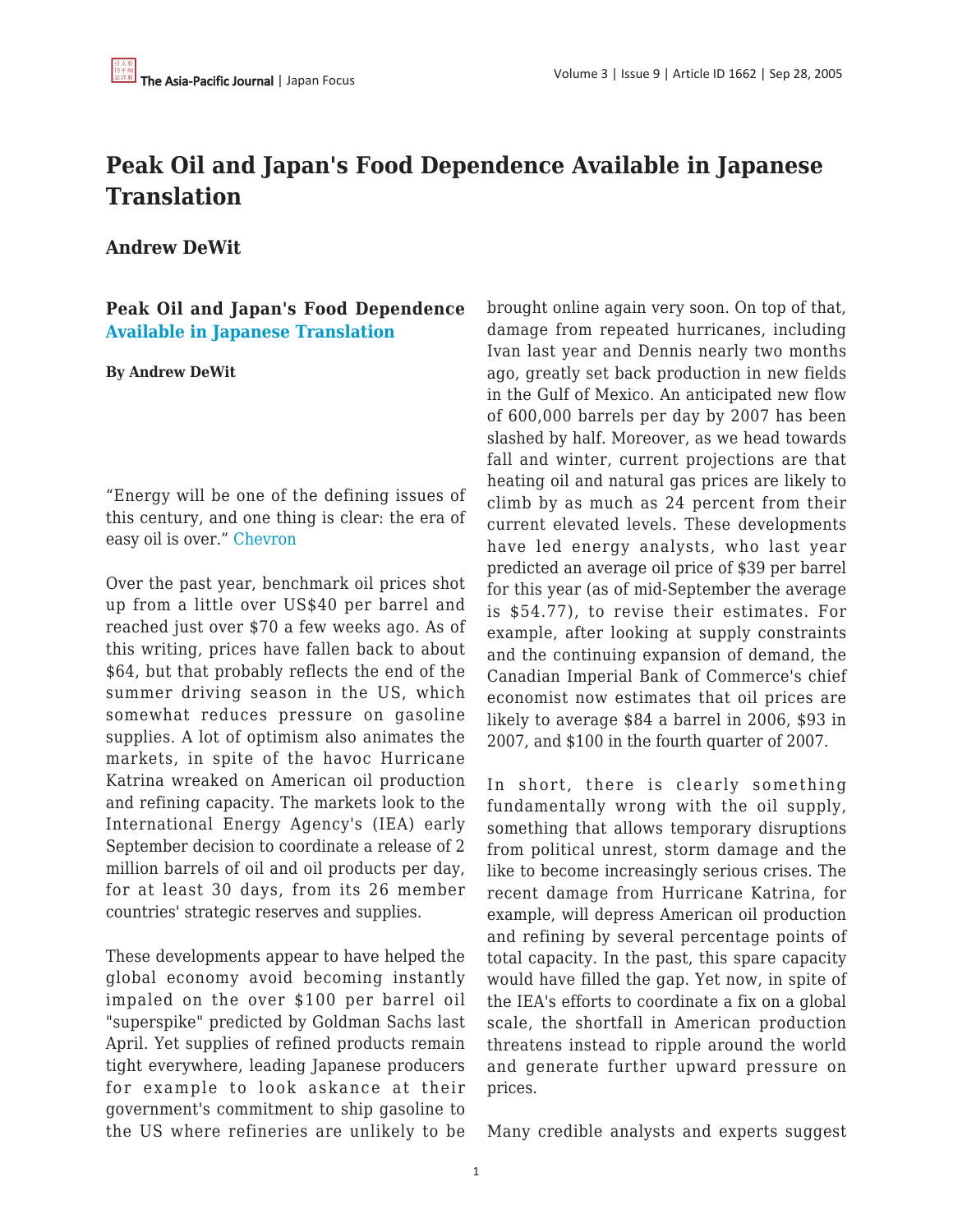# **Peak Oil and Japan's Food Dependence Available in Japanese Translation**

**Andrew DeWit**

**Peak Oil and Japan's Food Dependence [Available in Japanese Translation](http://www.techtrans-unlimited.com/sekiyu.html)**

#### **By Andrew DeWit**

"Energy will be one of the defining issues of this century, and one thing is clear: the era of easy oil is over." [Chevron](http://www.willyoujoinus.com/vision/)

Over the past year, benchmark oil prices shot up from a little over US\$40 per barrel and reached just over \$70 a few weeks ago. As of this writing, prices have fallen back to about \$64, but that probably reflects the end of the summer driving season in the US, which somewhat reduces pressure on gasoline supplies. A lot of optimism also animates the markets, in spite of the havoc Hurricane Katrina wreaked on American oil production and refining capacity. The markets look to the International Energy Agency's (IEA) early September decision to coordinate a release of 2 million barrels of oil and oil products per day, for at least 30 days, from its 26 member countries' strategic reserves and supplies.

These developments appear to have helped the global economy avoid becoming instantly impaled on the over \$100 per barrel oil "superspike" predicted by Goldman Sachs last April. Yet supplies of refined products remain tight everywhere, leading Japanese producers for example to look askance at their government's commitment to ship gasoline to the US where refineries are unlikely to be brought online again very soon. On top of that, damage from repeated hurricanes, including Ivan last year and Dennis nearly two months ago, greatly set back production in new fields in the Gulf of Mexico. An anticipated new flow of 600,000 barrels per day by 2007 has been slashed by half. Moreover, as we head towards fall and winter, current projections are that heating oil and natural gas prices are likely to climb by as much as 24 percent from their current elevated levels. These developments have led energy analysts, who last year predicted an average oil price of \$39 per barrel for this year (as of mid-September the average is \$54.77), to revise their estimates. For example, after looking at supply constraints and the continuing expansion of demand, the Canadian Imperial Bank of Commerce's chief economist now estimates that oil prices are likely to average \$84 a barrel in 2006, \$93 in 2007, and \$100 in the fourth quarter of 2007.

In short, there is clearly something fundamentally wrong with the oil supply, something that allows temporary disruptions from political unrest, storm damage and the like to become increasingly serious crises. The recent damage from Hurricane Katrina, for example, will depress American oil production and refining by several percentage points of total capacity. In the past, this spare capacity would have filled the gap. Yet now, in spite of the IEA's efforts to coordinate a fix on a global scale, the shortfall in American production threatens instead to ripple around the world and generate further upward pressure on prices.

Many credible analysts and experts suggest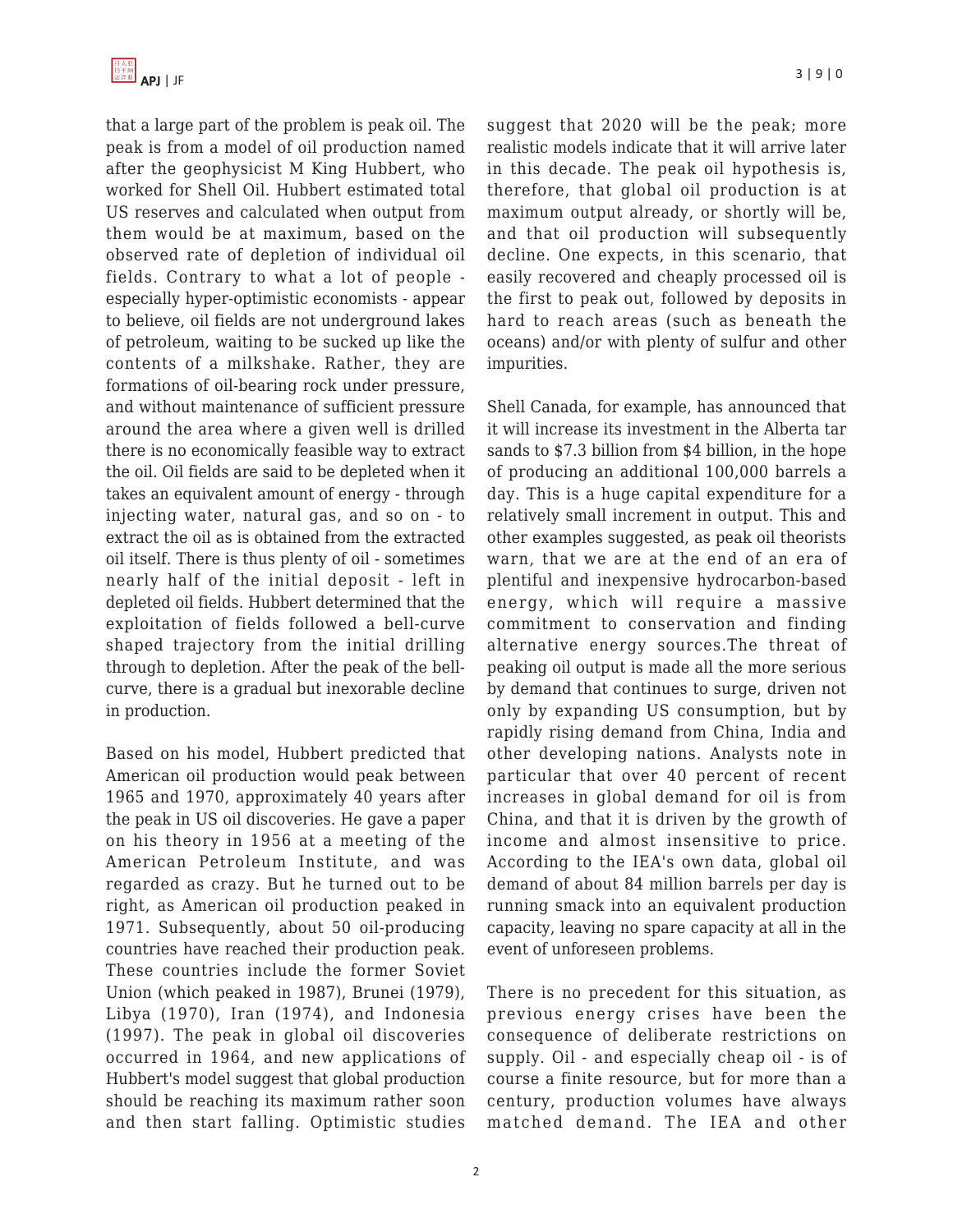that a large part of the problem is peak oil. The peak is from a model of oil production named after the geophysicist M King Hubbert, who worked for Shell Oil. Hubbert estimated total US reserves and calculated when output from them would be at maximum, based on the observed rate of depletion of individual oil fields. Contrary to what a lot of people especially hyper-optimistic economists - appear to believe, oil fields are not underground lakes of petroleum, waiting to be sucked up like the contents of a milkshake. Rather, they are formations of oil-bearing rock under pressure, and without maintenance of sufficient pressure around the area where a given well is drilled there is no economically feasible way to extract the oil. Oil fields are said to be depleted when it takes an equivalent amount of energy - through injecting water, natural gas, and so on - to extract the oil as is obtained from the extracted oil itself. There is thus plenty of oil - sometimes nearly half of the initial deposit - left in depleted oil fields. Hubbert determined that the exploitation of fields followed a bell-curve shaped trajectory from the initial drilling through to depletion. After the peak of the bellcurve, there is a gradual but inexorable decline in production.

Based on his model, Hubbert predicted that American oil production would peak between 1965 and 1970, approximately 40 years after the peak in US oil discoveries. He gave a paper on his theory in 1956 at a meeting of the American Petroleum Institute, and was regarded as crazy. But he turned out to be right, as American oil production peaked in 1971. Subsequently, about 50 oil-producing countries have reached their production peak. These countries include the former Soviet Union (which peaked in 1987), Brunei (1979), Libya (1970), Iran (1974), and Indonesia (1997). The peak in global oil discoveries occurred in 1964, and new applications of Hubbert's model suggest that global production should be reaching its maximum rather soon and then start falling. Optimistic studies suggest that 2020 will be the peak; more realistic models indicate that it will arrive later in this decade. The peak oil hypothesis is, therefore, that global oil production is at maximum output already, or shortly will be, and that oil production will subsequently decline. One expects, in this scenario, that easily recovered and cheaply processed oil is the first to peak out, followed by deposits in hard to reach areas (such as beneath the oceans) and/or with plenty of sulfur and other impurities.

Shell Canada, for example, has announced that it will increase its investment in the Alberta tar sands to \$7.3 billion from \$4 billion, in the hope of producing an additional 100,000 barrels a day. This is a huge capital expenditure for a relatively small increment in output. This and other examples suggested, as peak oil theorists warn, that we are at the end of an era of plentiful and inexpensive hydrocarbon-based energy, which will require a massive commitment to conservation and finding alternative energy sources.The threat of peaking oil output is made all the more serious by demand that continues to surge, driven not only by expanding US consumption, but by rapidly rising demand from China, India and other developing nations. Analysts note in particular that over 40 percent of recent increases in global demand for oil is from China, and that it is driven by the growth of income and almost insensitive to price. According to the IEA's own data, global oil demand of about 84 million barrels per day is running smack into an equivalent production capacity, leaving no spare capacity at all in the event of unforeseen problems.

There is no precedent for this situation, as previous energy crises have been the consequence of deliberate restrictions on supply. Oil - and especially cheap oil - is of course a finite resource, but for more than a century, production volumes have always matched demand. The IEA and other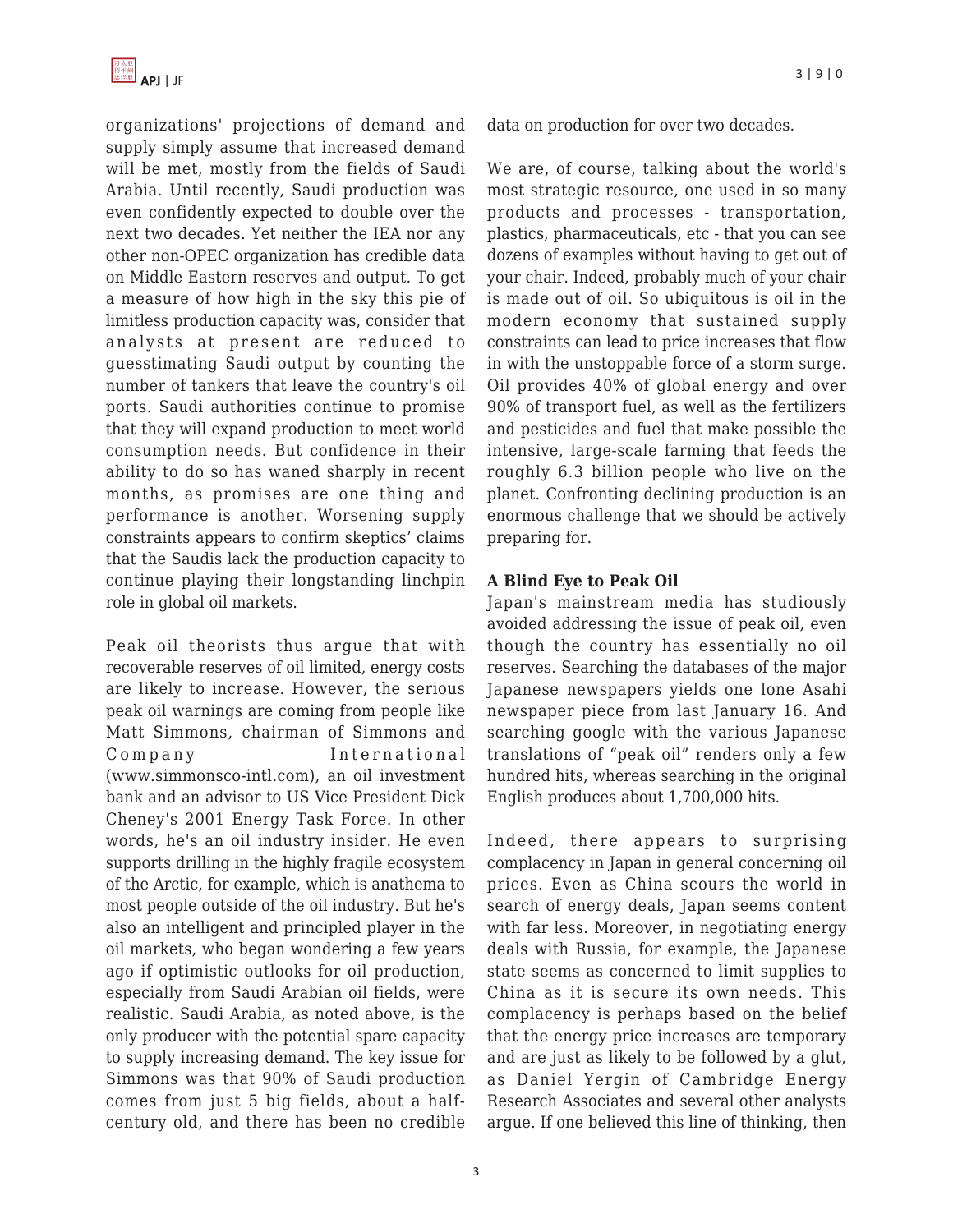organizations' projections of demand and supply simply assume that increased demand will be met, mostly from the fields of Saudi Arabia. Until recently, Saudi production was even confidently expected to double over the next two decades. Yet neither the IEA nor any other non-OPEC organization has credible data on Middle Eastern reserves and output. To get a measure of how high in the sky this pie of limitless production capacity was, consider that analysts at present are reduced to guesstimating Saudi output by counting the number of tankers that leave the country's oil ports. Saudi authorities continue to promise that they will expand production to meet world consumption needs. But confidence in their ability to do so has waned sharply in recent months, as promises are one thing and performance is another. Worsening supply constraints appears to confirm skeptics' claims that the Saudis lack the production capacity to continue playing their longstanding linchpin role in global oil markets.

Peak oil theorists thus argue that with recoverable reserves of oil limited, energy costs are likely to increase. However, the serious peak oil warnings are coming from people like Matt Simmons, chairman of Simmons and Company International (www.simmonsco-intl.com), an oil investment bank and an advisor to US Vice President Dick Cheney's 2001 Energy Task Force. In other words, he's an oil industry insider. He even supports drilling in the highly fragile ecosystem of the Arctic, for example, which is anathema to most people outside of the oil industry. But he's also an intelligent and principled player in the oil markets, who began wondering a few years ago if optimistic outlooks for oil production, especially from Saudi Arabian oil fields, were realistic. Saudi Arabia, as noted above, is the only producer with the potential spare capacity to supply increasing demand. The key issue for Simmons was that 90% of Saudi production comes from just 5 big fields, about a halfcentury old, and there has been no credible data on production for over two decades.

We are, of course, talking about the world's most strategic resource, one used in so many products and processes - transportation, plastics, pharmaceuticals, etc - that you can see dozens of examples without having to get out of your chair. Indeed, probably much of your chair is made out of oil. So ubiquitous is oil in the modern economy that sustained supply constraints can lead to price increases that flow in with the unstoppable force of a storm surge. Oil provides 40% of global energy and over 90% of transport fuel, as well as the fertilizers and pesticides and fuel that make possible the intensive, large-scale farming that feeds the roughly 6.3 billion people who live on the planet. Confronting declining production is an enormous challenge that we should be actively preparing for.

## **A Blind Eye to Peak Oil**

Japan's mainstream media has studiously avoided addressing the issue of peak oil, even though the country has essentially no oil reserves. Searching the databases of the major Japanese newspapers yields one lone Asahi newspaper piece from last January 16. And searching google with the various Japanese translations of "peak oil" renders only a few hundred hits, whereas searching in the original English produces about 1,700,000 hits.

Indeed, there appears to surprising complacency in Japan in general concerning oil prices. Even as China scours the world in search of energy deals, Japan seems content with far less. Moreover, in negotiating energy deals with Russia, for example, the Japanese state seems as concerned to limit supplies to China as it is secure its own needs. This complacency is perhaps based on the belief that the energy price increases are temporary and are just as likely to be followed by a glut, as Daniel Yergin of Cambridge Energy Research Associates and several other analysts argue. If one believed this line of thinking, then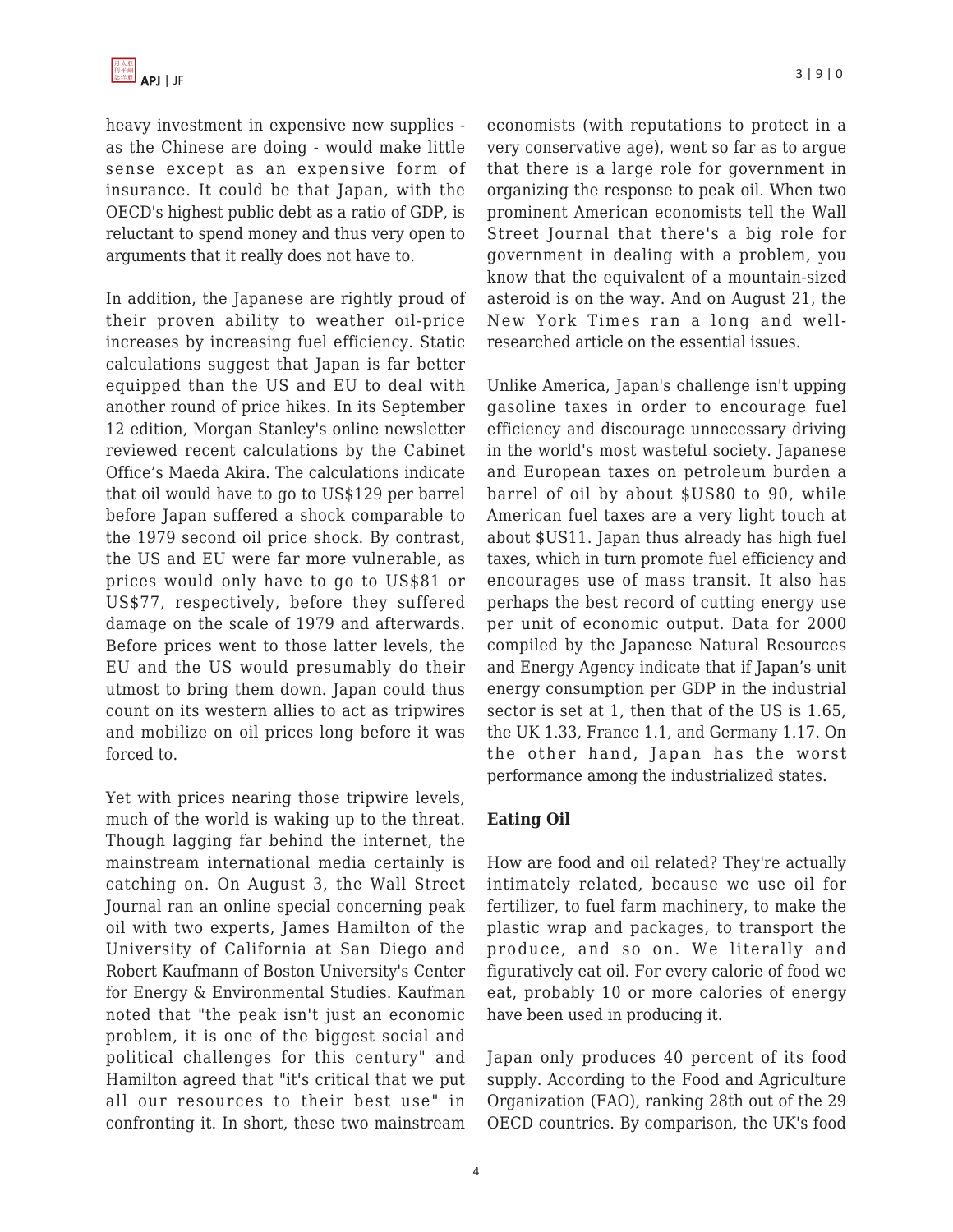heavy investment in expensive new supplies as the Chinese are doing - would make little sense except as an expensive form of insurance. It could be that Japan, with the OECD's highest public debt as a ratio of GDP, is reluctant to spend money and thus very open to arguments that it really does not have to.

In addition, the Japanese are rightly proud of their proven ability to weather oil-price increases by increasing fuel efficiency. Static calculations suggest that Japan is far better equipped than the US and EU to deal with another round of price hikes. In its September 12 edition, Morgan Stanley's online newsletter reviewed recent calculations by the Cabinet Office's Maeda Akira. The calculations indicate that oil would have to go to US\$129 per barrel before Japan suffered a shock comparable to the 1979 second oil price shock. By contrast, the US and EU were far more vulnerable, as prices would only have to go to US\$81 or US\$77, respectively, before they suffered damage on the scale of 1979 and afterwards. Before prices went to those latter levels, the EU and the US would presumably do their utmost to bring them down. Japan could thus count on its western allies to act as tripwires and mobilize on oil prices long before it was forced to.

Yet with prices nearing those tripwire levels, much of the world is waking up to the threat. Though lagging far behind the internet, the mainstream international media certainly is catching on. On August 3, the Wall Street Journal ran an online special concerning peak oil with two experts, James Hamilton of the University of California at San Diego and Robert Kaufmann of Boston University's Center for Energy & Environmental Studies. Kaufman noted that "the peak isn't just an economic problem, it is one of the biggest social and political challenges for this century" and Hamilton agreed that "it's critical that we put all our resources to their best use" in confronting it. In short, these two mainstream economists (with reputations to protect in a very conservative age), went so far as to argue that there is a large role for government in organizing the response to peak oil. When two prominent American economists tell the Wall Street Journal that there's a big role for government in dealing with a problem, you know that the equivalent of a mountain-sized asteroid is on the way. And on August 21, the New York Times ran a long and wellresearched article on the essential issues.

Unlike America, Japan's challenge isn't upping gasoline taxes in order to encourage fuel efficiency and discourage unnecessary driving in the world's most wasteful society. Japanese and European taxes on petroleum burden a barrel of oil by about \$US80 to 90, while American fuel taxes are a very light touch at about \$US11. Japan thus already has high fuel taxes, which in turn promote fuel efficiency and encourages use of mass transit. It also has perhaps the best record of cutting energy use per unit of economic output. Data for 2000 compiled by the Japanese Natural Resources and Energy Agency indicate that if Japan's unit energy consumption per GDP in the industrial sector is set at 1, then that of the US is 1.65, the UK 1.33, France 1.1, and Germany 1.17. On the other hand, Japan has the worst performance among the industrialized states.

# **Eating Oil**

How are food and oil related? They're actually intimately related, because we use oil for fertilizer, to fuel farm machinery, to make the plastic wrap and packages, to transport the produce, and so on. We literally and figuratively eat oil. For every calorie of food we eat, probably 10 or more calories of energy have been used in producing it.

Japan only produces 40 percent of its food supply. According to the Food and Agriculture Organization (FAO), ranking 28th out of the 29 OECD countries. By comparison, the UK's food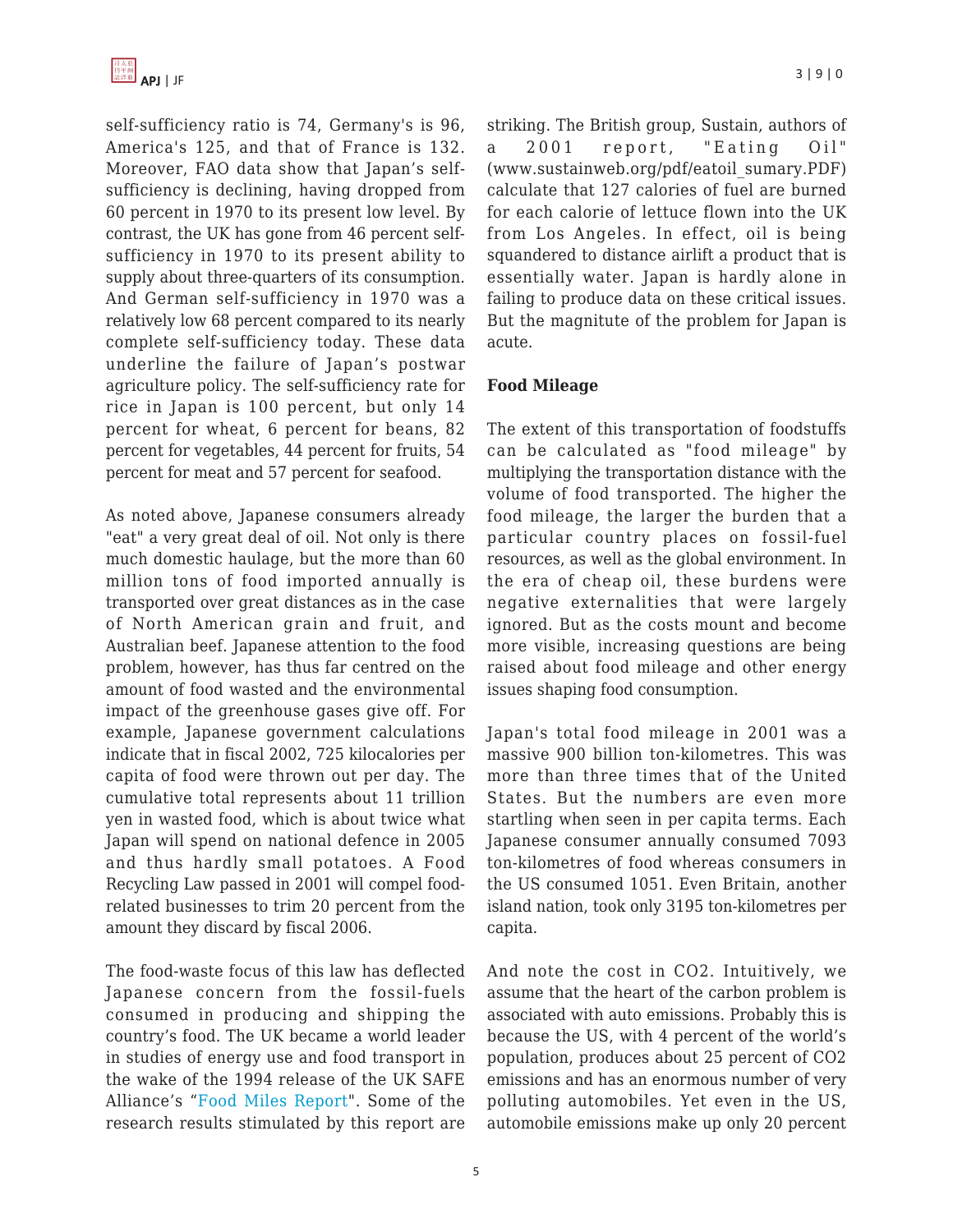self-sufficiency ratio is 74, Germany's is 96, America's 125, and that of France is 132. Moreover, FAO data show that Japan's selfsufficiency is declining, having dropped from 60 percent in 1970 to its present low level. By contrast, the UK has gone from 46 percent selfsufficiency in 1970 to its present ability to supply about three-quarters of its consumption. And German self-sufficiency in 1970 was a relatively low 68 percent compared to its nearly complete self-sufficiency today. These data underline the failure of Japan's postwar agriculture policy. The self-sufficiency rate for rice in Japan is 100 percent, but only 14 percent for wheat, 6 percent for beans, 82 percent for vegetables, 44 percent for fruits, 54 percent for meat and 57 percent for seafood.

As noted above, Japanese consumers already "eat" a very great deal of oil. Not only is there much domestic haulage, but the more than 60 million tons of food imported annually is transported over great distances as in the case of North American grain and fruit, and Australian beef. Japanese attention to the food problem, however, has thus far centred on the amount of food wasted and the environmental impact of the greenhouse gases give off. For example, Japanese government calculations indicate that in fiscal 2002, 725 kilocalories per capita of food were thrown out per day. The cumulative total represents about 11 trillion yen in wasted food, which is about twice what Japan will spend on national defence in 2005 and thus hardly small potatoes. A Food Recycling Law passed in 2001 will compel foodrelated businesses to trim 20 percent from the amount they discard by fiscal 2006.

The food-waste focus of this law has deflected Japanese concern from the fossil-fuels consumed in producing and shipping the country's food. The UK became a world leader in studies of energy use and food transport in the wake of the 1994 release of the UK SAFE Alliance's "[Food Miles Report"](http://www.sustainweb.org/chain_fm_index.asp). Some of the research results stimulated by this report are striking. The British group, Sustain, authors of a 2001 report, "Eating Oil" (www.sustainweb.org/pdf/eatoil\_sumary.PDF) calculate that 127 calories of fuel are burned for each calorie of lettuce flown into the UK from Los Angeles. In effect, oil is being squandered to distance airlift a product that is essentially water. Japan is hardly alone in failing to produce data on these critical issues. But the magnitute of the problem for Japan is acute.

## **Food Mileage**

The extent of this transportation of foodstuffs can be calculated as "food mileage" by multiplying the transportation distance with the volume of food transported. The higher the food mileage, the larger the burden that a particular country places on fossil-fuel resources, as well as the global environment. In the era of cheap oil, these burdens were negative externalities that were largely ignored. But as the costs mount and become more visible, increasing questions are being raised about food mileage and other energy issues shaping food consumption.

Japan's total food mileage in 2001 was a massive 900 billion ton-kilometres. This was more than three times that of the United States. But the numbers are even more startling when seen in per capita terms. Each Japanese consumer annually consumed 7093 ton-kilometres of food whereas consumers in the US consumed 1051. Even Britain, another island nation, took only 3195 ton-kilometres per capita.

And note the cost in CO2. Intuitively, we assume that the heart of the carbon problem is associated with auto emissions. Probably this is because the US, with 4 percent of the world's population, produces about 25 percent of CO2 emissions and has an enormous number of very polluting automobiles. Yet even in the US, automobile emissions make up only 20 percent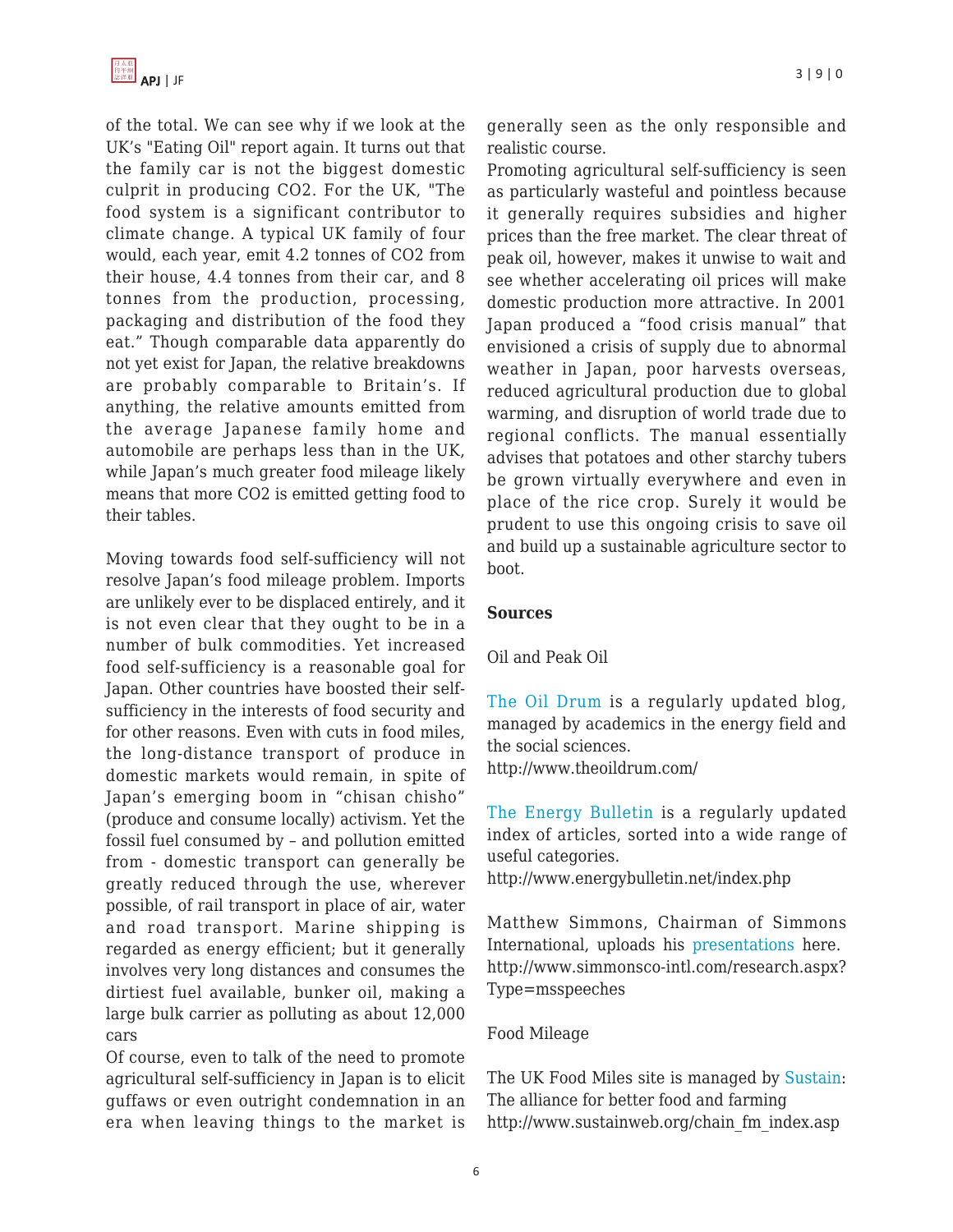of the total. We can see why if we look at the UK's "Eating Oil" report again. It turns out that the family car is not the biggest domestic culprit in producing CO2. For the UK, "The food system is a significant contributor to climate change. A typical UK family of four would, each year, emit 4.2 tonnes of CO2 from their house, 4.4 tonnes from their car, and 8 tonnes from the production, processing, packaging and distribution of the food they eat." Though comparable data apparently do not yet exist for Japan, the relative breakdowns are probably comparable to Britain's. If anything, the relative amounts emitted from the average Japanese family home and automobile are perhaps less than in the UK, while Japan's much greater food mileage likely means that more CO2 is emitted getting food to their tables.

Moving towards food self-sufficiency will not resolve Japan's food mileage problem. Imports are unlikely ever to be displaced entirely, and it is not even clear that they ought to be in a number of bulk commodities. Yet increased food self-sufficiency is a reasonable goal for Japan. Other countries have boosted their selfsufficiency in the interests of food security and for other reasons. Even with cuts in food miles, the long-distance transport of produce in domestic markets would remain, in spite of Japan's emerging boom in "chisan chisho" (produce and consume locally) activism. Yet the fossil fuel consumed by – and pollution emitted from - domestic transport can generally be greatly reduced through the use, wherever possible, of rail transport in place of air, water and road transport. Marine shipping is regarded as energy efficient; but it generally involves very long distances and consumes the dirtiest fuel available, bunker oil, making a large bulk carrier as polluting as about 12,000 cars

Of course, even to talk of the need to promote agricultural self-sufficiency in Japan is to elicit guffaws or even outright condemnation in an era when leaving things to the market is generally seen as the only responsible and realistic course.

Promoting agricultural self-sufficiency is seen as particularly wasteful and pointless because it generally requires subsidies and higher prices than the free market. The clear threat of peak oil, however, makes it unwise to wait and see whether accelerating oil prices will make domestic production more attractive. In 2001 Japan produced a "food crisis manual" that envisioned a crisis of supply due to abnormal weather in Japan, poor harvests overseas, reduced agricultural production due to global warming, and disruption of world trade due to regional conflicts. The manual essentially advises that potatoes and other starchy tubers be grown virtually everywhere and even in place of the rice crop. Surely it would be prudent to use this ongoing crisis to save oil and build up a sustainable agriculture sector to boot.

#### **Sources**

Oil and Peak Oil

[The Oil Drum](http://www.theoildrum.com/) is a regularly updated blog, managed by academics in the energy field and the social sciences.

http://www.theoildrum.com/

[The Energy Bulletin](http://www.energybulletin.net/index.php) is a regularly updated index of articles, sorted into a wide range of useful categories.

http://www.energybulletin.net/index.php

Matthew Simmons, Chairman of Simmons International, uploads his [presentations](http://www.simmonsco-intl.com/research.aspx?Type=msspeeches) here. http://www.simmonsco-intl.com/research.aspx? Type=msspeeches

# Food Mileage

The UK Food Miles site is managed by [Sustain:](http://www.sustainweb.org/chain_fm_index.asp) The alliance for better food and farming http://www.sustainweb.org/chain\_fm\_index.asp